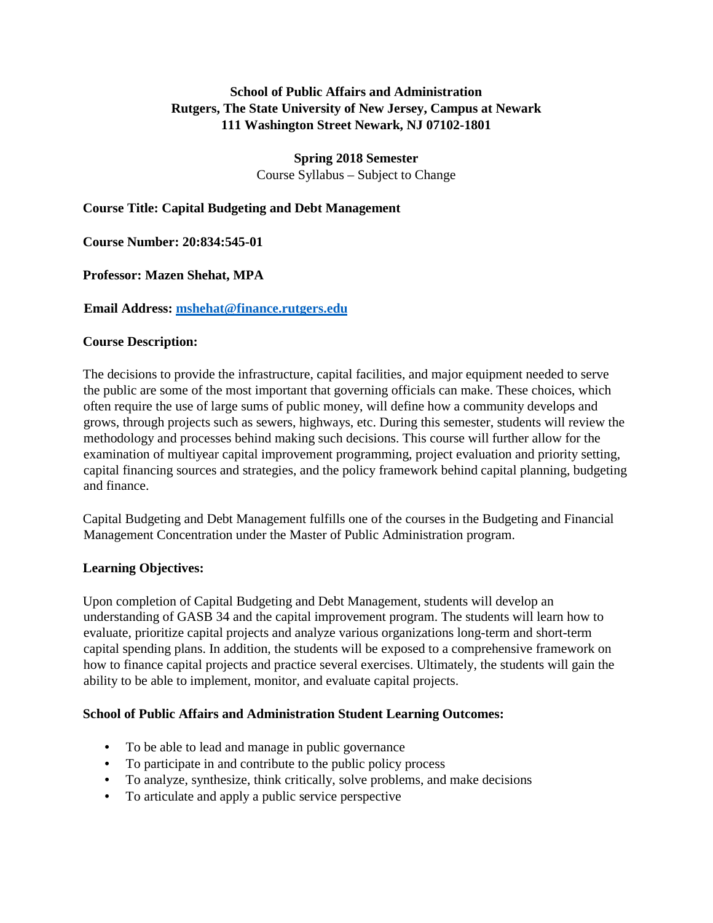## **School of Public Affairs and Administration Rutgers, The State University of New Jersey, Campus at Newark 111 Washington Street Newark, NJ 07102-1801**

**Spring 2018 Semester** 

Course Syllabus – Subject to Change

## **Course Title: Capital Budgeting and Debt Management**

### **Course Number: 20:834:545-01**

**Professor: Mazen Shehat, MPA** 

#### **Email Address: mshehat@finance.rutgers.edu**

#### **Course Description:**

The decisions to provide the infrastructure, capital facilities, and major equipment needed to serve the public are some of the most important that governing officials can make. These choices, which often require the use of large sums of public money, will define how a community develops and grows, through projects such as sewers, highways, etc. During this semester, students will review the methodology and processes behind making such decisions. This course will further allow for the examination of multiyear capital improvement programming, project evaluation and priority setting, capital financing sources and strategies, and the policy framework behind capital planning, budgeting and finance.

Capital Budgeting and Debt Management fulfills one of the courses in the Budgeting and Financial Management Concentration under the Master of Public Administration program.

#### **Learning Objectives:**

Upon completion of Capital Budgeting and Debt Management, students will develop an understanding of GASB 34 and the capital improvement program. The students will learn how to evaluate, prioritize capital projects and analyze various organizations long-term and short-term capital spending plans. In addition, the students will be exposed to a comprehensive framework on how to finance capital projects and practice several exercises. Ultimately, the students will gain the ability to be able to implement, monitor, and evaluate capital projects.

#### **School of Public Affairs and Administration Student Learning Outcomes:**

- To be able to lead and manage in public governance
- To participate in and contribute to the public policy process
- To analyze, synthesize, think critically, solve problems, and make decisions
- To articulate and apply a public service perspective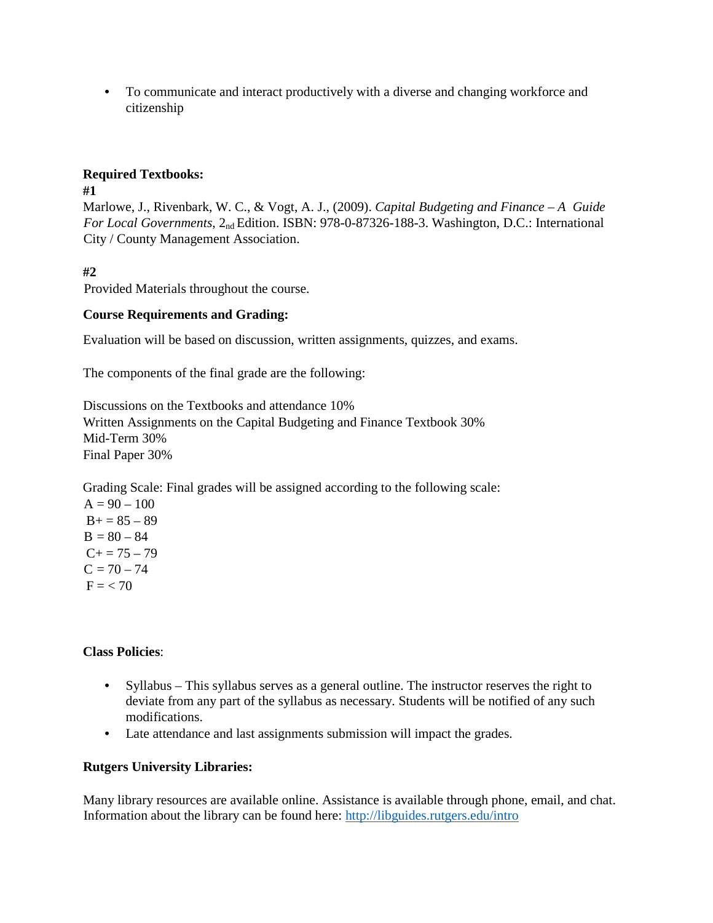• To communicate and interact productively with a diverse and changing workforce and citizenship

## **Required Textbooks:**

#### **#1**

Marlowe, J., Rivenbark, W. C., & Vogt, A. J., (2009). *Capital Budgeting and Finance – A Guide For Local Governments*, 2nd Edition. ISBN: 978-0-87326-188-3. Washington, D.C.: International City / County Management Association.

## **#2**

Provided Materials throughout the course.

## **Course Requirements and Grading:**

Evaluation will be based on discussion, written assignments, quizzes, and exams.

The components of the final grade are the following:

Discussions on the Textbooks and attendance 10% Written Assignments on the Capital Budgeting and Finance Textbook 30% Mid-Term 30% Final Paper 30%

Grading Scale: Final grades will be assigned according to the following scale:

 $A = 90 - 100$  $B+=85-89$  $B = 80 - 84$  $C+= 75 - 79$  $C = 70 - 74$  $F = 70$ 

## **Class Policies**:

- Syllabus This syllabus serves as a general outline. The instructor reserves the right to deviate from any part of the syllabus as necessary. Students will be notified of any such modifications.
- Late attendance and last assignments submission will impact the grades.

## **Rutgers University Libraries:**

Many library resources are available online. Assistance is available through phone, email, and chat. Information about the library can be found here:<http://libguides.rutgers.edu/intro>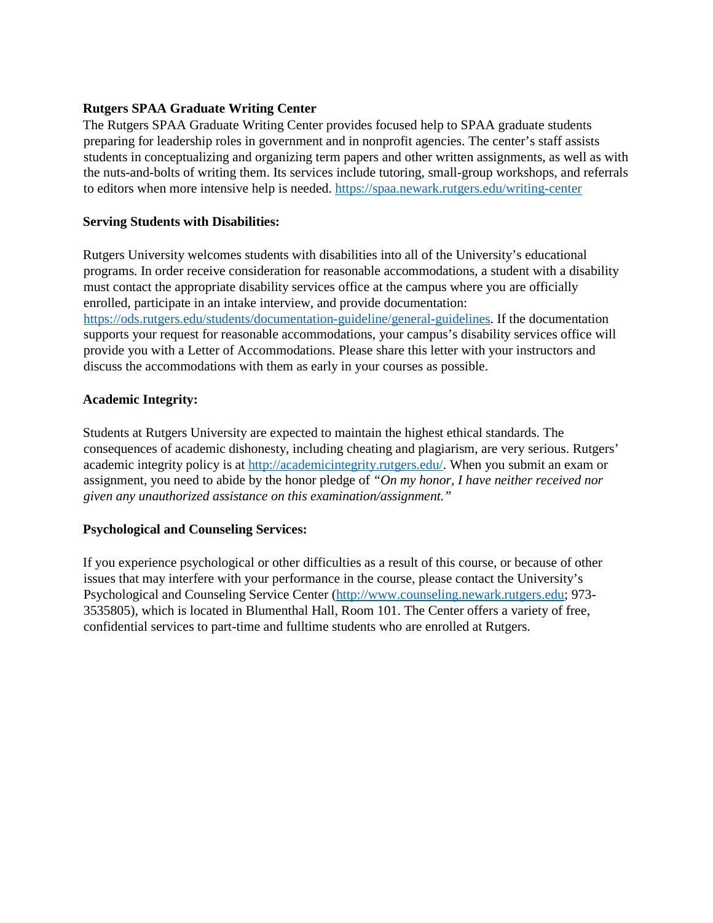#### **Rutgers SPAA Graduate Writing Center**

The Rutgers SPAA Graduate Writing Center provides focused help to SPAA graduate students preparing for leadership roles in government and in nonprofit agencies. The center's staff assists students in conceptualizing and organizing term papers and other written assignments, as well as with the nuts-and-bolts of writing them. Its services include tutoring, small-group workshops, and referrals to editors when more intensive help is needed[.](https://spaa.newark.rutgers.edu/writing-center) <https://spaa.newark.rutgers.edu/writing-center>

#### **Serving Students with Disabilities:**

Rutgers University welcomes students with disabilities into all of the University's educational programs. In order receive consideration for reasonable accommodations, a student with a disability must contact the appropriate disability services office at the campus where you are officially enrolled, participate in an intake interview, and provide documentation: [https://ods.rutgers.edu/students/documentation-guideline/general-guidelines.](https://ods.rutgers.edu/students/documentation-guideline/general-guidelines) If the documentation supports your request for reasonable accommodations, your campus's disability services office will provide you with a Letter of Accommodations. Please share this letter with your instructors and discuss the accommodations with them as early in your courses as possible.

#### **Academic Integrity:**

Students at Rutgers University are expected to maintain the highest ethical standards. The consequences of academic dishonesty, including cheating and plagiarism, are very serious. Rutgers' academic integrity policy is at [http://academicintegrity.rutgers.edu/.](http://academicintegrity.rutgers.edu/) When you submit an exam or assignment, you need to abide by the honor pledge of *"On my honor, I have neither received nor given any unauthorized assistance on this examination/assignment."*

## **Psychological and Counseling Services:**

If you experience psychological or other difficulties as a result of this course, or because of other issues that may interfere with your performance in the course, please contact the University's Psychological and Counseling Service Center [\(http://www.counseling.newark.rutgers.edu;](http://www.counseling.newark.rutgers.edu/) 973- 3535805), which is located in Blumenthal Hall, Room 101. The Center offers a variety of free, confidential services to part-time and fulltime students who are enrolled at Rutgers.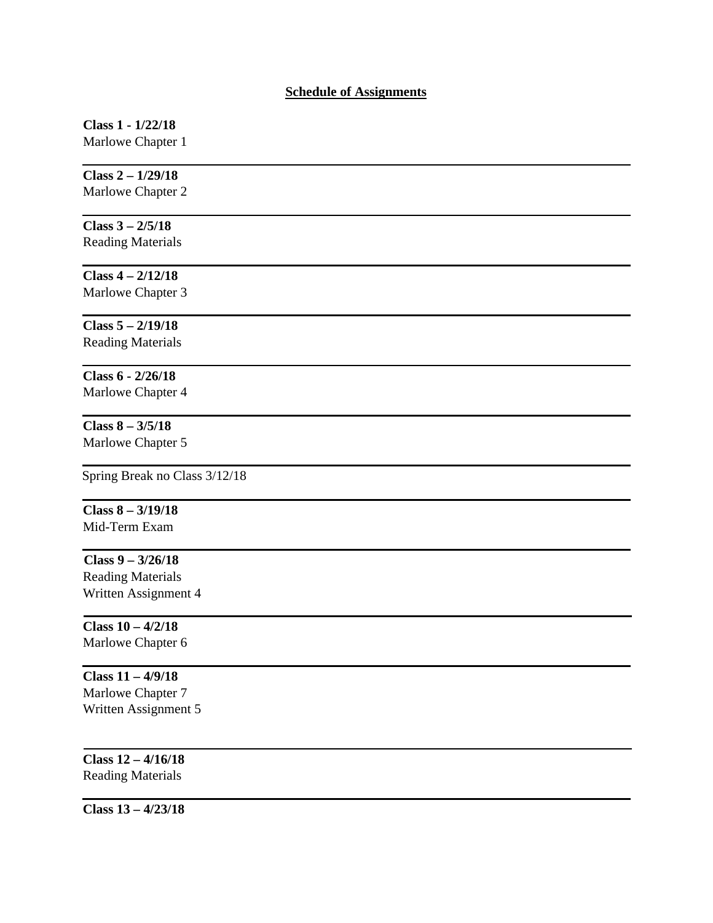#### **Schedule of Assignments**

# **Class 1 - 1/22/18**

Marlowe Chapter 1

# **Class 2 – 1/29/18**

Marlowe Chapter 2

## **Class 3 – 2/5/18**

Reading Materials

#### **Class 4 – 2/12/18** Marlowe Chapter 3

**Class 5 – 2/19/18**

Reading Materials

## **Class 6 - 2/26/18** Marlowe Chapter 4

#### **Class 8 – 3/5/18** Marlowe Chapter 5

Spring Break no Class 3/12/18

## **Class 8 – 3/19/18** Mid-Term Exam

**Class 9 – 3/26/18** Reading Materials Written Assignment 4

#### **Class 10 – 4/2/18** Marlowe Chapter 6

**Class 11 – 4/9/18** Marlowe Chapter 7 Written Assignment 5

## **Class 12 – 4/16/18** Reading Materials

**Class 13 – 4/23/18**